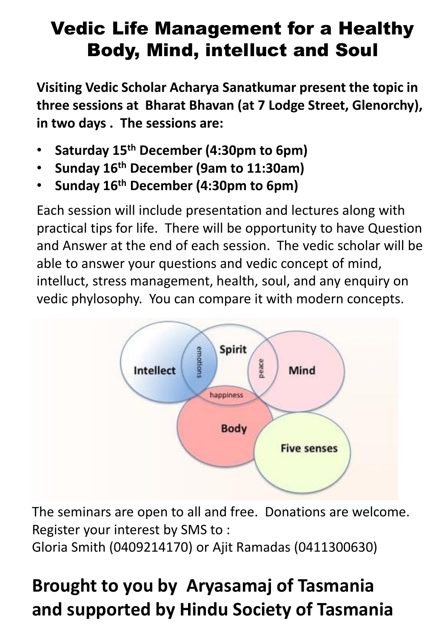## Vedic Life Management for a Healthy Body, Mind, intelluct and Soul

**Visiting Vedic Scholar Acharya Sanatkumar present the topic in three sessions at Bharat Bhavan (at 7 Lodge Street, Glenorchy), in two days . The sessions are:**

- **Saturday 15th December (4:30pm to 6pm)**
- **Sunday 16th December (9am to 11:30am)**
- **Sunday 16th December (4:30pm to 6pm)**

Each session will include presentation and lectures along with practical tips for life. There will be opportunity to have Question and Answer at the end of each session. The vedic scholar will be able to answer your questions and vedic concept of mind, intelluct, stress management, health, soul, and any enquiry on vedic phylosophy. You can compare it with modern concepts.



The seminars are open to all and free. Donations are welcome. Register your interest by SMS to :

Gloria Smith (0409214170) or Ajit Ramadas (0411300630)

## **Brought to you by Aryasamaj of Tasmania and supported by Hindu Society of Tasmania**